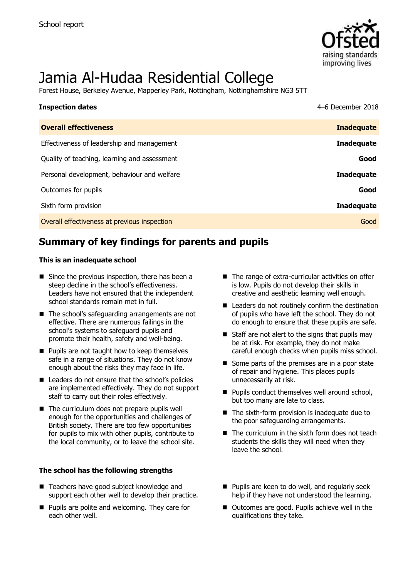

# Jamia Al-Hudaa Residential College

Forest House, Berkeley Avenue, Mapperley Park, Nottingham, Nottinghamshire NG3 5TT

| <b>Inspection dates</b>                      | 4–6 December 2018 |
|----------------------------------------------|-------------------|
| <b>Overall effectiveness</b>                 | <b>Inadequate</b> |
| Effectiveness of leadership and management   | <b>Inadequate</b> |
| Quality of teaching, learning and assessment | Good              |
| Personal development, behaviour and welfare  | <b>Inadequate</b> |
| Outcomes for pupils                          | Good              |
| Sixth form provision                         | <b>Inadequate</b> |
| Overall effectiveness at previous inspection | Good              |

# **Summary of key findings for parents and pupils**

### **This is an inadequate school**

- $\blacksquare$  Since the previous inspection, there has been a steep decline in the school's effectiveness. Leaders have not ensured that the independent school standards remain met in full.
- The school's safeguarding arrangements are not effective. There are numerous failings in the school's systems to safeguard pupils and promote their health, safety and well-being.
- $\blacksquare$  Pupils are not taught how to keep themselves safe in a range of situations. They do not know enough about the risks they may face in life.
- Leaders do not ensure that the school's policies are implemented effectively. They do not support staff to carry out their roles effectively.
- The curriculum does not prepare pupils well enough for the opportunities and challenges of British society. There are too few opportunities for pupils to mix with other pupils, contribute to the local community, or to leave the school site.

### **The school has the following strengths**

- Teachers have good subject knowledge and support each other well to develop their practice.
- **Pupils are polite and welcoming. They care for** each other well.
- The range of extra-curricular activities on offer is low. Pupils do not develop their skills in creative and aesthetic learning well enough.
- Leaders do not routinely confirm the destination of pupils who have left the school. They do not do enough to ensure that these pupils are safe.
- $\blacksquare$  Staff are not alert to the signs that pupils may be at risk. For example, they do not make careful enough checks when pupils miss school.
- Some parts of the premises are in a poor state of repair and hygiene. This places pupils unnecessarily at risk.
- **Pupils conduct themselves well around school,** but too many are late to class.
- $\blacksquare$  The sixth-form provision is inadequate due to the poor safeguarding arrangements.
- $\blacksquare$  The curriculum in the sixth form does not teach students the skills they will need when they leave the school.
- **Pupils are keen to do well, and regularly seek** help if they have not understood the learning.
- Outcomes are good. Pupils achieve well in the qualifications they take.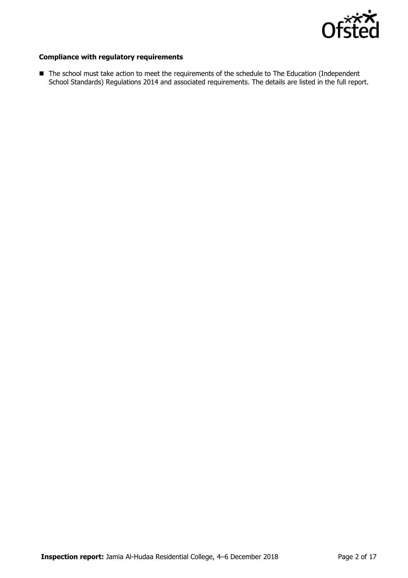

### **Compliance with regulatory requirements**

■ The school must take action to meet the requirements of the schedule to The Education (Independent School Standards) Regulations 2014 and associated requirements. The details are listed in the full report.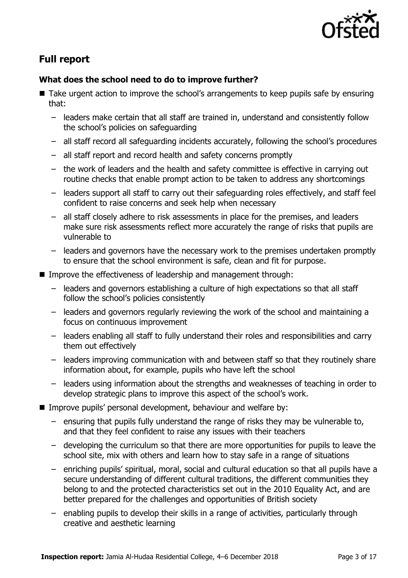

# **Full report**

### **What does the school need to do to improve further?**

- Take urgent action to improve the school's arrangements to keep pupils safe by ensuring that:
	- leaders make certain that all staff are trained in, understand and consistently follow the school's policies on safeguarding
	- all staff record all safeguarding incidents accurately, following the school's procedures
	- all staff report and record health and safety concerns promptly
	- the work of leaders and the health and safety committee is effective in carrying out routine checks that enable prompt action to be taken to address any shortcomings
	- leaders support all staff to carry out their safeguarding roles effectively, and staff feel confident to raise concerns and seek help when necessary
	- all staff closely adhere to risk assessments in place for the premises, and leaders make sure risk assessments reflect more accurately the range of risks that pupils are vulnerable to
	- leaders and governors have the necessary work to the premises undertaken promptly to ensure that the school environment is safe, clean and fit for purpose.
- Improve the effectiveness of leadership and management through:
	- leaders and governors establishing a culture of high expectations so that all staff follow the school's policies consistently
	- leaders and governors regularly reviewing the work of the school and maintaining a focus on continuous improvement
	- leaders enabling all staff to fully understand their roles and responsibilities and carry them out effectively
	- leaders improving communication with and between staff so that they routinely share information about, for example, pupils who have left the school
	- leaders using information about the strengths and weaknesses of teaching in order to develop strategic plans to improve this aspect of the school's work.
- Improve pupils' personal development, behaviour and welfare by:
	- ensuring that pupils fully understand the range of risks they may be vulnerable to, and that they feel confident to raise any issues with their teachers
	- developing the curriculum so that there are more opportunities for pupils to leave the school site, mix with others and learn how to stay safe in a range of situations
	- enriching pupils' spiritual, moral, social and cultural education so that all pupils have a secure understanding of different cultural traditions, the different communities they belong to and the protected characteristics set out in the 2010 Equality Act, and are better prepared for the challenges and opportunities of British society
	- enabling pupils to develop their skills in a range of activities, particularly through creative and aesthetic learning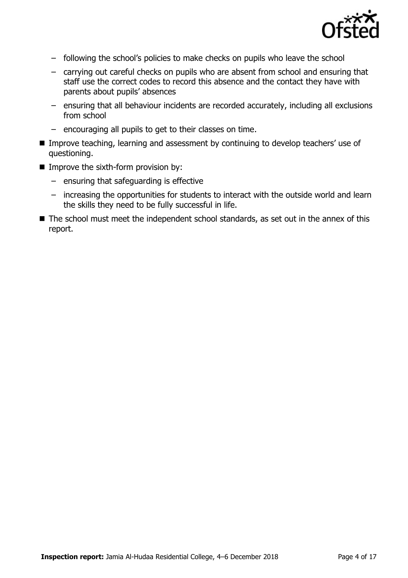

- following the school's policies to make checks on pupils who leave the school
- carrying out careful checks on pupils who are absent from school and ensuring that staff use the correct codes to record this absence and the contact they have with parents about pupils' absences
- ensuring that all behaviour incidents are recorded accurately, including all exclusions from school
- encouraging all pupils to get to their classes on time.
- Improve teaching, learning and assessment by continuing to develop teachers' use of questioning.
- $\blacksquare$  Improve the sixth-form provision by:
	- ensuring that safeguarding is effective
	- increasing the opportunities for students to interact with the outside world and learn the skills they need to be fully successful in life.
- The school must meet the independent school standards, as set out in the annex of this report.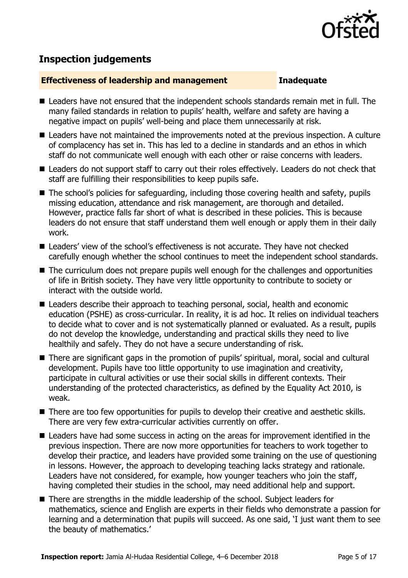

# **Inspection judgements**

### **Effectiveness of leadership and management Inadequate**

- Leaders have not ensured that the independent schools standards remain met in full. The many failed standards in relation to pupils' health, welfare and safety are having a negative impact on pupils' well-being and place them unnecessarily at risk.
- Leaders have not maintained the improvements noted at the previous inspection. A culture of complacency has set in. This has led to a decline in standards and an ethos in which staff do not communicate well enough with each other or raise concerns with leaders.
- Leaders do not support staff to carry out their roles effectively. Leaders do not check that staff are fulfilling their responsibilities to keep pupils safe.
- The school's policies for safeguarding, including those covering health and safety, pupils missing education, attendance and risk management, are thorough and detailed. However, practice falls far short of what is described in these policies. This is because leaders do not ensure that staff understand them well enough or apply them in their daily work.
- Leaders' view of the school's effectiveness is not accurate. They have not checked carefully enough whether the school continues to meet the independent school standards.
- The curriculum does not prepare pupils well enough for the challenges and opportunities of life in British society. They have very little opportunity to contribute to society or interact with the outside world.
- **E** Leaders describe their approach to teaching personal, social, health and economic education (PSHE) as cross-curricular. In reality, it is ad hoc. It relies on individual teachers to decide what to cover and is not systematically planned or evaluated. As a result, pupils do not develop the knowledge, understanding and practical skills they need to live healthily and safely. They do not have a secure understanding of risk.
- There are significant gaps in the promotion of pupils' spiritual, moral, social and cultural development. Pupils have too little opportunity to use imagination and creativity, participate in cultural activities or use their social skills in different contexts. Their understanding of the protected characteristics, as defined by the Equality Act 2010, is weak.
- There are too few opportunities for pupils to develop their creative and aesthetic skills. There are very few extra-curricular activities currently on offer.
- Leaders have had some success in acting on the areas for improvement identified in the previous inspection. There are now more opportunities for teachers to work together to develop their practice, and leaders have provided some training on the use of questioning in lessons. However, the approach to developing teaching lacks strategy and rationale. Leaders have not considered, for example, how younger teachers who join the staff, having completed their studies in the school, may need additional help and support.
- There are strengths in the middle leadership of the school. Subject leaders for mathematics, science and English are experts in their fields who demonstrate a passion for learning and a determination that pupils will succeed. As one said, 'I just want them to see the beauty of mathematics.'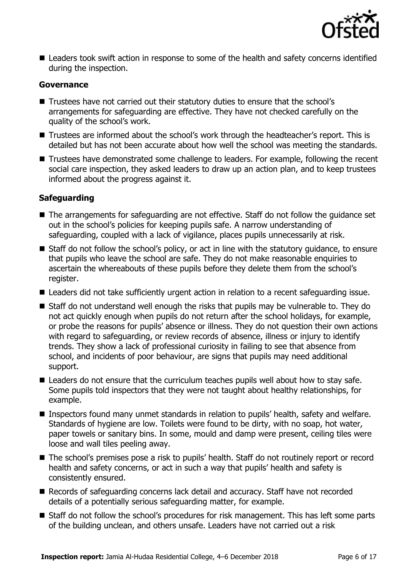

 Leaders took swift action in response to some of the health and safety concerns identified during the inspection.

### **Governance**

- Trustees have not carried out their statutory duties to ensure that the school's arrangements for safeguarding are effective. They have not checked carefully on the quality of the school's work.
- Trustees are informed about the school's work through the headteacher's report. This is detailed but has not been accurate about how well the school was meeting the standards.
- Trustees have demonstrated some challenge to leaders. For example, following the recent social care inspection, they asked leaders to draw up an action plan, and to keep trustees informed about the progress against it.

### **Safeguarding**

- The arrangements for safeguarding are not effective. Staff do not follow the guidance set out in the school's policies for keeping pupils safe. A narrow understanding of safeguarding, coupled with a lack of vigilance, places pupils unnecessarily at risk.
- Staff do not follow the school's policy, or act in line with the statutory guidance, to ensure that pupils who leave the school are safe. They do not make reasonable enquiries to ascertain the whereabouts of these pupils before they delete them from the school's register.
- Leaders did not take sufficiently urgent action in relation to a recent safeguarding issue.
- Staff do not understand well enough the risks that pupils may be vulnerable to. They do not act quickly enough when pupils do not return after the school holidays, for example, or probe the reasons for pupils' absence or illness. They do not question their own actions with regard to safeguarding, or review records of absence, illness or injury to identify trends. They show a lack of professional curiosity in failing to see that absence from school, and incidents of poor behaviour, are signs that pupils may need additional support.
- Leaders do not ensure that the curriculum teaches pupils well about how to stay safe. Some pupils told inspectors that they were not taught about healthy relationships, for example.
- Inspectors found many unmet standards in relation to pupils' health, safety and welfare. Standards of hygiene are low. Toilets were found to be dirty, with no soap, hot water, paper towels or sanitary bins. In some, mould and damp were present, ceiling tiles were loose and wall tiles peeling away.
- The school's premises pose a risk to pupils' health. Staff do not routinely report or record health and safety concerns, or act in such a way that pupils' health and safety is consistently ensured.
- Records of safeguarding concerns lack detail and accuracy. Staff have not recorded details of a potentially serious safeguarding matter, for example.
- Staff do not follow the school's procedures for risk management. This has left some parts of the building unclean, and others unsafe. Leaders have not carried out a risk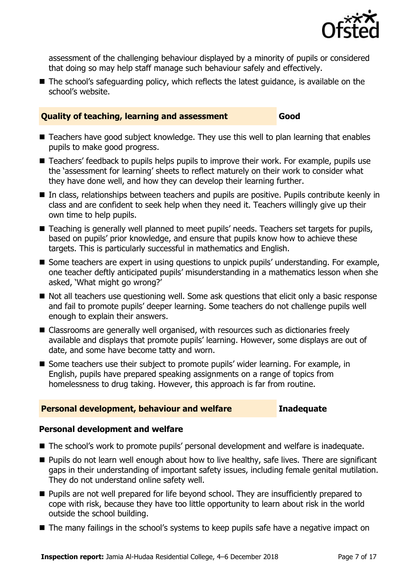

assessment of the challenging behaviour displayed by a minority of pupils or considered that doing so may help staff manage such behaviour safely and effectively.

■ The school's safeguarding policy, which reflects the latest guidance, is available on the school's website.

### **Quality of teaching, learning and assessment Good**

- Teachers have good subject knowledge. They use this well to plan learning that enables pupils to make good progress.
- Teachers' feedback to pupils helps pupils to improve their work. For example, pupils use the 'assessment for learning' sheets to reflect maturely on their work to consider what they have done well, and how they can develop their learning further.
- In class, relationships between teachers and pupils are positive. Pupils contribute keenly in class and are confident to seek help when they need it. Teachers willingly give up their own time to help pupils.
- Teaching is generally well planned to meet pupils' needs. Teachers set targets for pupils, based on pupils' prior knowledge, and ensure that pupils know how to achieve these targets. This is particularly successful in mathematics and English.
- Some teachers are expert in using questions to unpick pupils' understanding. For example, one teacher deftly anticipated pupils' misunderstanding in a mathematics lesson when she asked, 'What might go wrong?'
- Not all teachers use questioning well. Some ask questions that elicit only a basic response and fail to promote pupils' deeper learning. Some teachers do not challenge pupils well enough to explain their answers.
- Classrooms are generally well organised, with resources such as dictionaries freely available and displays that promote pupils' learning. However, some displays are out of date, and some have become tatty and worn.
- Some teachers use their subject to promote pupils' wider learning. For example, in English, pupils have prepared speaking assignments on a range of topics from homelessness to drug taking. However, this approach is far from routine.

### **Personal development, behaviour and welfare <b>Inadequate**

### **Personal development and welfare**

- The school's work to promote pupils' personal development and welfare is inadequate.
- **Pupils do not learn well enough about how to live healthy, safe lives. There are significant** gaps in their understanding of important safety issues, including female genital mutilation. They do not understand online safety well.
- **Pupils are not well prepared for life beyond school. They are insufficiently prepared to** cope with risk, because they have too little opportunity to learn about risk in the world outside the school building.
- The many failings in the school's systems to keep pupils safe have a negative impact on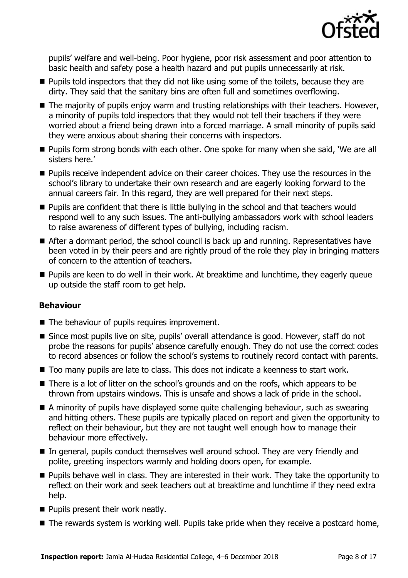

pupils' welfare and well-being. Poor hygiene, poor risk assessment and poor attention to basic health and safety pose a health hazard and put pupils unnecessarily at risk.

- **Pupils told inspectors that they did not like using some of the toilets, because they are** dirty. They said that the sanitary bins are often full and sometimes overflowing.
- $\blacksquare$  The majority of pupils enjoy warm and trusting relationships with their teachers. However, a minority of pupils told inspectors that they would not tell their teachers if they were worried about a friend being drawn into a forced marriage. A small minority of pupils said they were anxious about sharing their concerns with inspectors.
- Pupils form strong bonds with each other. One spoke for many when she said, 'We are all sisters here.'
- **Pupils receive independent advice on their career choices. They use the resources in the** school's library to undertake their own research and are eagerly looking forward to the annual careers fair. In this regard, they are well prepared for their next steps.
- **Pupils are confident that there is little bullying in the school and that teachers would** respond well to any such issues. The anti-bullying ambassadors work with school leaders to raise awareness of different types of bullying, including racism.
- After a dormant period, the school council is back up and running. Representatives have been voted in by their peers and are rightly proud of the role they play in bringing matters of concern to the attention of teachers.
- **Pupils are keen to do well in their work. At breaktime and lunchtime, they eagerly queue** up outside the staff room to get help.

### **Behaviour**

- The behaviour of pupils requires improvement.
- Since most pupils live on site, pupils' overall attendance is good. However, staff do not probe the reasons for pupils' absence carefully enough. They do not use the correct codes to record absences or follow the school's systems to routinely record contact with parents.
- Too many pupils are late to class. This does not indicate a keenness to start work.
- There is a lot of litter on the school's grounds and on the roofs, which appears to be thrown from upstairs windows. This is unsafe and shows a lack of pride in the school.
- A minority of pupils have displayed some quite challenging behaviour, such as swearing and hitting others. These pupils are typically placed on report and given the opportunity to reflect on their behaviour, but they are not taught well enough how to manage their behaviour more effectively.
- In general, pupils conduct themselves well around school. They are very friendly and polite, greeting inspectors warmly and holding doors open, for example.
- **Pupils behave well in class. They are interested in their work. They take the opportunity to** reflect on their work and seek teachers out at breaktime and lunchtime if they need extra help.
- **Pupils present their work neatly.**
- $\blacksquare$  The rewards system is working well. Pupils take pride when they receive a postcard home,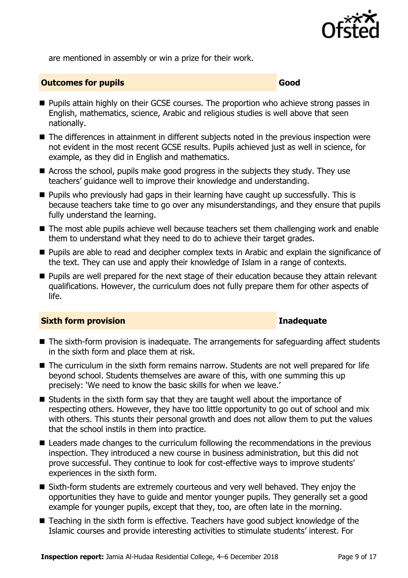

are mentioned in assembly or win a prize for their work.

### **Outcomes for pupils Good Good**

- **Pupils attain highly on their GCSE courses. The proportion who achieve strong passes in** English, mathematics, science, Arabic and religious studies is well above that seen nationally.
- The differences in attainment in different subjects noted in the previous inspection were not evident in the most recent GCSE results. Pupils achieved just as well in science, for example, as they did in English and mathematics.
- Across the school, pupils make good progress in the subjects they study. They use teachers' guidance well to improve their knowledge and understanding.
- $\blacksquare$  Pupils who previously had gaps in their learning have caught up successfully. This is because teachers take time to go over any misunderstandings, and they ensure that pupils fully understand the learning.
- The most able pupils achieve well because teachers set them challenging work and enable them to understand what they need to do to achieve their target grades.
- **Pupils are able to read and decipher complex texts in Arabic and explain the significance of** the text. They can use and apply their knowledge of Islam in a range of contexts.
- **Pupils are well prepared for the next stage of their education because they attain relevant** qualifications. However, the curriculum does not fully prepare them for other aspects of life.

### **Sixth form provision Inadequate**

- The sixth-form provision is inadequate. The arrangements for safeguarding affect students in the sixth form and place them at risk.
- The curriculum in the sixth form remains narrow. Students are not well prepared for life beyond school. Students themselves are aware of this, with one summing this up precisely: 'We need to know the basic skills for when we leave.'
- $\blacksquare$  Students in the sixth form say that they are taught well about the importance of respecting others. However, they have too little opportunity to go out of school and mix with others. This stunts their personal growth and does not allow them to put the values that the school instils in them into practice.
- Leaders made changes to the curriculum following the recommendations in the previous inspection. They introduced a new course in business administration, but this did not prove successful. They continue to look for cost-effective ways to improve students' experiences in the sixth form.
- Sixth-form students are extremely courteous and very well behaved. They enjoy the opportunities they have to guide and mentor younger pupils. They generally set a good example for younger pupils, except that they, too, are often late in the morning.
- Teaching in the sixth form is effective. Teachers have good subject knowledge of the Islamic courses and provide interesting activities to stimulate students' interest. For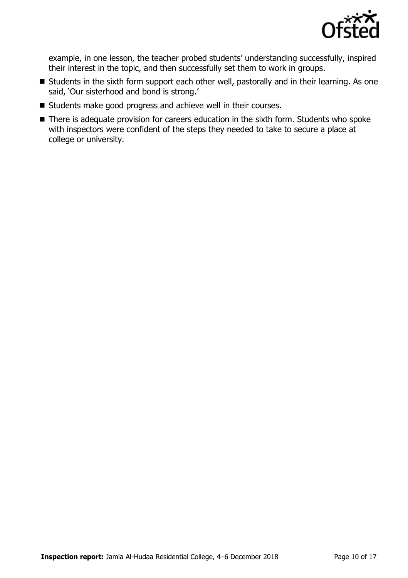

example, in one lesson, the teacher probed students' understanding successfully, inspired their interest in the topic, and then successfully set them to work in groups.

- Students in the sixth form support each other well, pastorally and in their learning. As one said, 'Our sisterhood and bond is strong.'
- Students make good progress and achieve well in their courses.
- There is adequate provision for careers education in the sixth form. Students who spoke with inspectors were confident of the steps they needed to take to secure a place at college or university.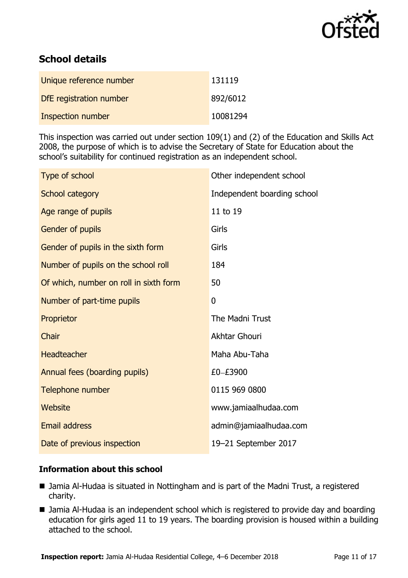

# **School details**

| Unique reference number | 131119   |
|-------------------------|----------|
| DfE registration number | 892/6012 |
| Inspection number       | 10081294 |

This inspection was carried out under section 109(1) and (2) of the Education and Skills Act 2008, the purpose of which is to advise the Secretary of State for Education about the school's suitability for continued registration as an independent school.

| Type of school                         | Other independent school    |
|----------------------------------------|-----------------------------|
| School category                        | Independent boarding school |
| Age range of pupils                    | 11 to 19                    |
| Gender of pupils                       | Girls                       |
| Gender of pupils in the sixth form     | Girls                       |
| Number of pupils on the school roll    | 184                         |
| Of which, number on roll in sixth form | 50                          |
| Number of part-time pupils             | $\mathbf 0$                 |
| Proprietor                             | The Madni Trust             |
| Chair                                  | <b>Akhtar Ghouri</b>        |
| <b>Headteacher</b>                     | Maha Abu-Taha               |
| Annual fees (boarding pupils)          | £0-£3900                    |
| Telephone number                       | 0115 969 0800               |
| Website                                | www.jamiaalhudaa.com        |
| <b>Email address</b>                   | admin@jamiaalhudaa.com      |
| Date of previous inspection            | 19-21 September 2017        |

### **Information about this school**

- Jamia Al-Hudaa is situated in Nottingham and is part of the Madni Trust, a registered charity.
- Jamia Al-Hudaa is an independent school which is registered to provide day and boarding education for girls aged 11 to 19 years. The boarding provision is housed within a building attached to the school.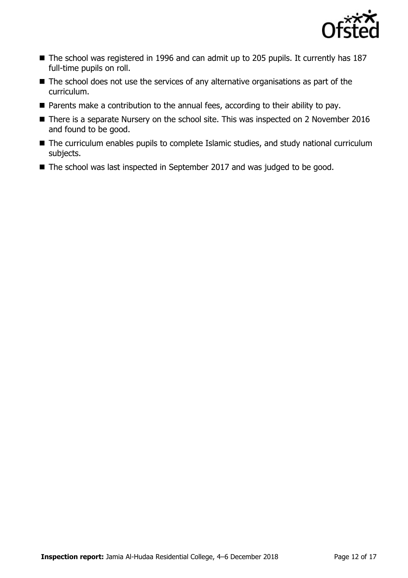

- The school was registered in 1996 and can admit up to 205 pupils. It currently has 187 full-time pupils on roll.
- $\blacksquare$  The school does not use the services of any alternative organisations as part of the curriculum.
- Parents make a contribution to the annual fees, according to their ability to pay.
- There is a separate Nursery on the school site. This was inspected on 2 November 2016 and found to be good.
- The curriculum enables pupils to complete Islamic studies, and study national curriculum subjects.
- The school was last inspected in September 2017 and was judged to be good.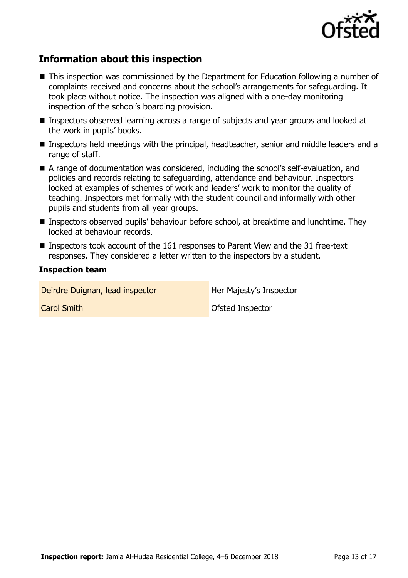

## **Information about this inspection**

- This inspection was commissioned by the Department for Education following a number of complaints received and concerns about the school's arrangements for safeguarding. It took place without notice. The inspection was aligned with a one-day monitoring inspection of the school's boarding provision.
- Inspectors observed learning across a range of subjects and year groups and looked at the work in pupils' books.
- Inspectors held meetings with the principal, headteacher, senior and middle leaders and a range of staff.
- A range of documentation was considered, including the school's self-evaluation, and policies and records relating to safeguarding, attendance and behaviour. Inspectors looked at examples of schemes of work and leaders' work to monitor the quality of teaching. Inspectors met formally with the student council and informally with other pupils and students from all year groups.
- Inspectors observed pupils' behaviour before school, at breaktime and lunchtime. They looked at behaviour records.
- Inspectors took account of the 161 responses to Parent View and the 31 free-text responses. They considered a letter written to the inspectors by a student.

### **Inspection team**

Deirdre Duignan, lead inspector **Her Majesty's Inspector** 

**Carol Smith Carol Smith Carol Smith Carol Smith Carol Smith Carol Smith Carol Smith Carol Smith Carol Smith Carol Smith Carol Smith Carol Smith Carol Smith Carol Smith Carol Smith Carol Smith Carol Smith Carol Smith Carol**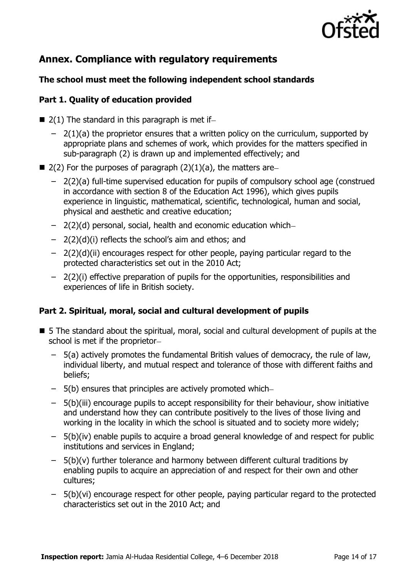

# **Annex. Compliance with regulatory requirements**

### **The school must meet the following independent school standards**

### **Part 1. Quality of education provided**

- $\blacksquare$  2(1) The standard in this paragraph is met if-
	- $2(1)(a)$  the proprietor ensures that a written policy on the curriculum, supported by appropriate plans and schemes of work, which provides for the matters specified in sub-paragraph (2) is drawn up and implemented effectively; and
- 2(2) For the purposes of paragraph  $(2)(1)(a)$ , the matters are-
	- 2(2)(a) full-time supervised education for pupils of compulsory school age (construed in accordance with section 8 of the Education Act 1996), which gives pupils experience in linguistic, mathematical, scientific, technological, human and social, physical and aesthetic and creative education;
	- 2(2)(d) personal, social, health and economic education which
	- 2(2)(d)(i) reflects the school's aim and ethos; and
	- 2(2)(d)(ii) encourages respect for other people, paying particular regard to the protected characteristics set out in the 2010 Act;
	- 2(2)(i) effective preparation of pupils for the opportunities, responsibilities and experiences of life in British society.

### **Part 2. Spiritual, moral, social and cultural development of pupils**

- 5 The standard about the spiritual, moral, social and cultural development of pupils at the school is met if the proprietor
	- 5(a) actively promotes the fundamental British values of democracy, the rule of law, individual liberty, and mutual respect and tolerance of those with different faiths and beliefs;
	- 5(b) ensures that principles are actively promoted which
	- 5(b)(iii) encourage pupils to accept responsibility for their behaviour, show initiative and understand how they can contribute positively to the lives of those living and working in the locality in which the school is situated and to society more widely;
	- 5(b)(iv) enable pupils to acquire a broad general knowledge of and respect for public institutions and services in England;
	- $-$  5(b)(v) further tolerance and harmony between different cultural traditions by enabling pupils to acquire an appreciation of and respect for their own and other cultures;
	- 5(b)(vi) encourage respect for other people, paying particular regard to the protected characteristics set out in the 2010 Act; and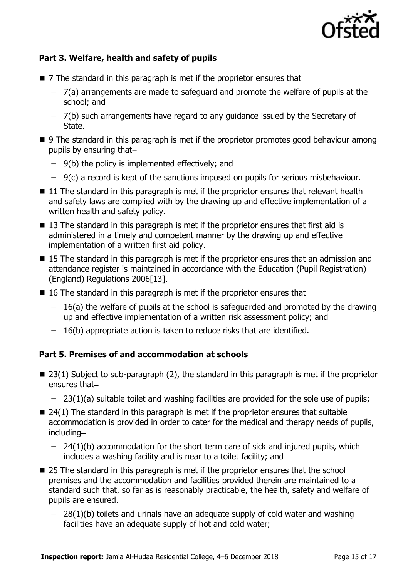

### **Part 3. Welfare, health and safety of pupils**

- $\blacksquare$  7 The standard in this paragraph is met if the proprietor ensures that-
	- 7(a) arrangements are made to safeguard and promote the welfare of pupils at the school; and
	- 7(b) such arrangements have regard to any guidance issued by the Secretary of State.
- 9 The standard in this paragraph is met if the proprietor promotes good behaviour among pupils by ensuring that
	- 9(b) the policy is implemented effectively; and
	- 9(c) a record is kept of the sanctions imposed on pupils for serious misbehaviour.
- $\blacksquare$  11 The standard in this paragraph is met if the proprietor ensures that relevant health and safety laws are complied with by the drawing up and effective implementation of a written health and safety policy.
- 13 The standard in this paragraph is met if the proprietor ensures that first aid is administered in a timely and competent manner by the drawing up and effective implementation of a written first aid policy.
- 15 The standard in this paragraph is met if the proprietor ensures that an admission and attendance register is maintained in accordance with the Education (Pupil Registration) (England) Regulations 2006[13].
- $\blacksquare$  16 The standard in this paragraph is met if the proprietor ensures that-
	- 16(a) the welfare of pupils at the school is safeguarded and promoted by the drawing up and effective implementation of a written risk assessment policy; and
	- 16(b) appropriate action is taken to reduce risks that are identified.

### **Part 5. Premises of and accommodation at schools**

- $\blacksquare$  23(1) Subject to sub-paragraph (2), the standard in this paragraph is met if the proprietor ensures that
	- 23(1)(a) suitable toilet and washing facilities are provided for the sole use of pupils;
- $\blacksquare$  24(1) The standard in this paragraph is met if the proprietor ensures that suitable accommodation is provided in order to cater for the medical and therapy needs of pupils, including
	- 24(1)(b) accommodation for the short term care of sick and injured pupils, which includes a washing facility and is near to a toilet facility; and
- 25 The standard in this paragraph is met if the proprietor ensures that the school premises and the accommodation and facilities provided therein are maintained to a standard such that, so far as is reasonably practicable, the health, safety and welfare of pupils are ensured.
	- 28(1)(b) toilets and urinals have an adequate supply of cold water and washing facilities have an adequate supply of hot and cold water;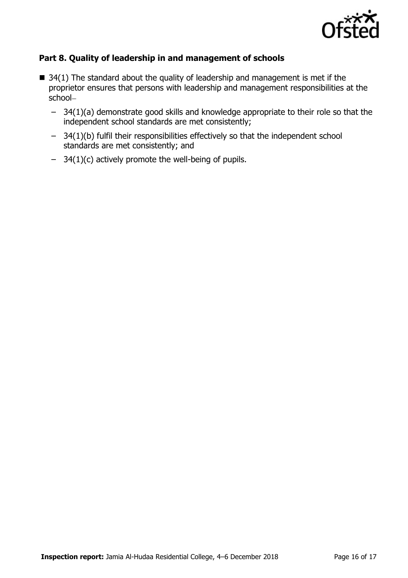

### **Part 8. Quality of leadership in and management of schools**

- $\blacksquare$  34(1) The standard about the quality of leadership and management is met if the proprietor ensures that persons with leadership and management responsibilities at the school
	- 34(1)(a) demonstrate good skills and knowledge appropriate to their role so that the independent school standards are met consistently;
	- 34(1)(b) fulfil their responsibilities effectively so that the independent school standards are met consistently; and
	- 34(1)(c) actively promote the well-being of pupils.